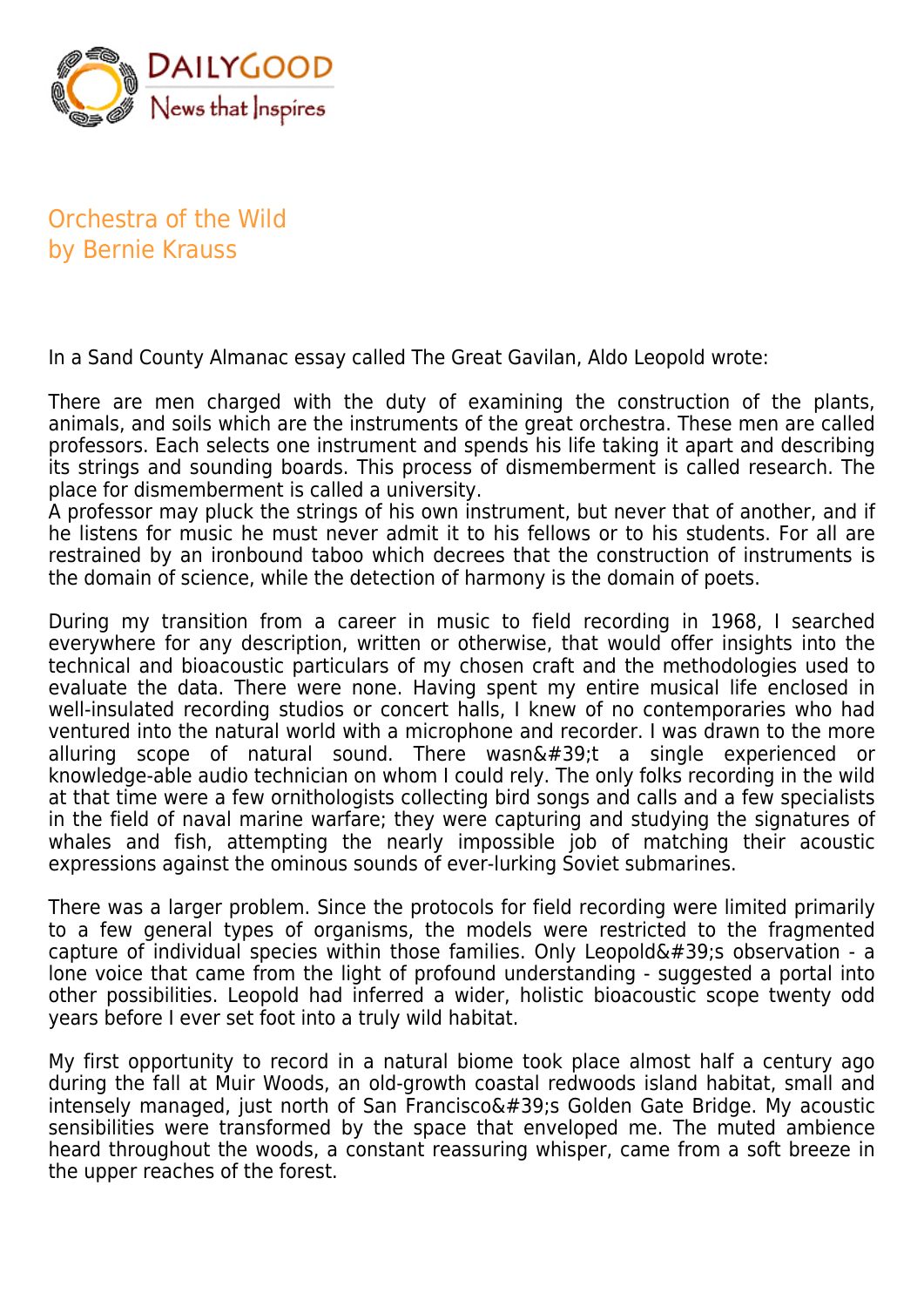

Orchestra of the Wild by Bernie Krauss

In a Sand County Almanac essay called The Great Gavilan, Aldo Leopold wrote:

There are men charged with the duty of examining the construction of the plants, animals, and soils which are the instruments of the great orchestra. These men are called professors. Each selects one instrument and spends his life taking it apart and describing its strings and sounding boards. This process of dismemberment is called research. The place for dismemberment is called a university.

A professor may pluck the strings of his own instrument, but never that of another, and if he listens for music he must never admit it to his fellows or to his students. For all are restrained by an ironbound taboo which decrees that the construction of instruments is the domain of science, while the detection of harmony is the domain of poets.

During my transition from a career in music to field recording in 1968, I searched everywhere for any description, written or otherwise, that would offer insights into the technical and bioacoustic particulars of my chosen craft and the methodologies used to evaluate the data. There were none. Having spent my entire musical life enclosed in well-insulated recording studios or concert halls, I knew of no contemporaries who had ventured into the natural world with a microphone and recorder. I was drawn to the more alluring scope of natural sound. There wasn $\&\#39$ ;t a single experienced or knowledge-able audio technician on whom I could rely. The only folks recording in the wild at that time were a few ornithologists collecting bird songs and calls and a few specialists in the field of naval marine warfare; they were capturing and studying the signatures of whales and fish, attempting the nearly impossible job of matching their acoustic expressions against the ominous sounds of ever-lurking Soviet submarines.

There was a larger problem. Since the protocols for field recording were limited primarily to a few general types of organisms, the models were restricted to the fragmented capture of individual species within those families. Only Leopold $\&\#39$ ; observation - a lone voice that came from the light of profound understanding - suggested a portal into other possibilities. Leopold had inferred a wider, holistic bioacoustic scope twenty odd years before I ever set foot into a truly wild habitat.

My first opportunity to record in a natural biome took place almost half a century ago during the fall at Muir Woods, an old-growth coastal redwoods island habitat, small and intensely managed, just north of San Francisco $\&\#39$ ; Golden Gate Bridge. My acoustic sensibilities were transformed by the space that enveloped me. The muted ambience heard throughout the woods, a constant reassuring whisper, came from a soft breeze in the upper reaches of the forest.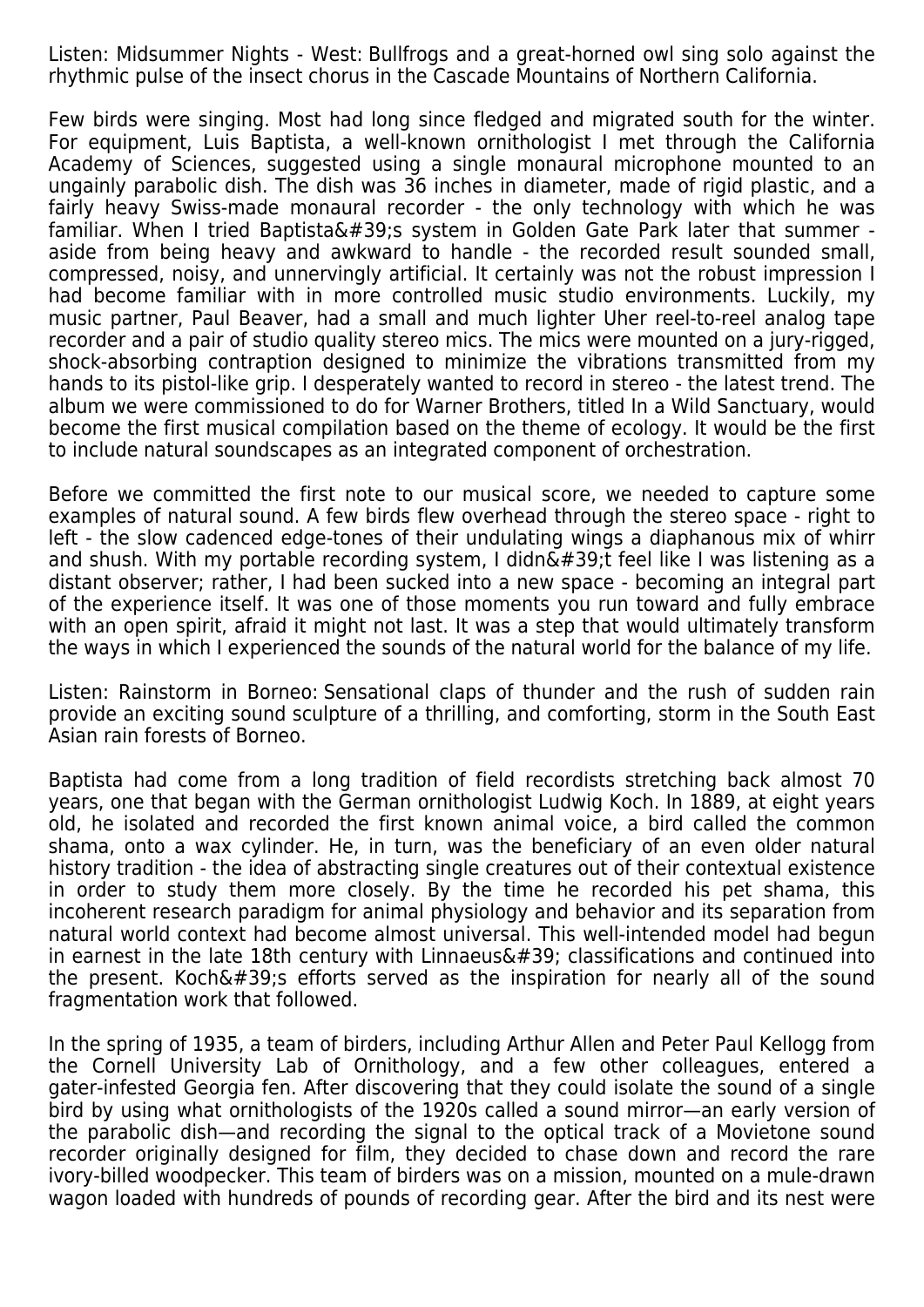Listen: Midsummer Nights - West: Bullfrogs and a great-horned owl sing solo against the rhythmic pulse of the insect chorus in the Cascade Mountains of Northern California.

Few birds were singing. Most had long since fledged and migrated south for the winter. For equipment, Luis Baptista, a well-known ornithologist I met through the California Academy of Sciences, suggested using a single monaural microphone mounted to an ungainly parabolic dish. The dish was 36 inches in diameter, made of rigid plastic, and a fairly heavy Swiss-made monaural recorder - the only technology with which he was familiar. When I tried Baptista' system in Golden Gate Park later that summer aside from being heavy and awkward to handle - the recorded result sounded small, compressed, noisy, and unnervingly artificial. It certainly was not the robust impression I had become familiar with in more controlled music studio environments. Luckily, my music partner, Paul Beaver, had a small and much lighter Uher reel-to-reel analog tape recorder and a pair of studio quality stereo mics. The mics were mounted on a jury-rigged, shock-absorbing contraption designed to minimize the vibrations transmitted from my hands to its pistol-like grip. I desperately wanted to record in stereo - the latest trend. The album we were commissioned to do for Warner Brothers, titled In a Wild Sanctuary, would become the first musical compilation based on the theme of ecology. It would be the first to include natural soundscapes as an integrated component of orchestration.

Before we committed the first note to our musical score, we needed to capture some examples of natural sound. A few birds flew overhead through the stereo space - right to left - the slow cadenced edge-tones of their undulating wings a diaphanous mix of whirr and shush. With my portable recording system, I didn $\&\#39$ ;t feel like I was listening as a distant observer; rather, I had been sucked into a new space - becoming an integral part of the experience itself. It was one of those moments you run toward and fully embrace with an open spirit, afraid it might not last. It was a step that would ultimately transform the ways in which I experienced the sounds of the natural world for the balance of my life.

Listen: Rainstorm in Borneo: Sensational claps of thunder and the rush of sudden rain provide an exciting sound sculpture of a thrilling, and comforting, storm in the South East Asian rain forests of Borneo.

Baptista had come from a long tradition of field recordists stretching back almost 70 years, one that began with the German ornithologist Ludwig Koch. In 1889, at eight years old, he isolated and recorded the first known animal voice, a bird called the common shama, onto a wax cylinder. He, in turn, was the beneficiary of an even older natural history tradition - the idea of abstracting single creatures out of their contextual existence in order to study them more closely. By the time he recorded his pet shama, this incoherent research paradigm for animal physiology and behavior and its separation from natural world context had become almost universal. This well-intended model had begun in earnest in the late 18th century with Linnaeus $\&\#39$ ; classifications and continued into the present. Koch $\&\#39$ ; efforts served as the inspiration for nearly all of the sound fragmentation work that followed.

In the spring of 1935, a team of birders, including Arthur Allen and Peter Paul Kellogg from the Cornell University Lab of Ornithology, and a few other colleagues, entered a gater-infested Georgia fen. After discovering that they could isolate the sound of a single bird by using what ornithologists of the 1920s called a sound mirror—an early version of the parabolic dish—and recording the signal to the optical track of a Movietone sound recorder originally designed for film, they decided to chase down and record the rare ivory-billed woodpecker. This team of birders was on a mission, mounted on a mule-drawn wagon loaded with hundreds of pounds of recording gear. After the bird and its nest were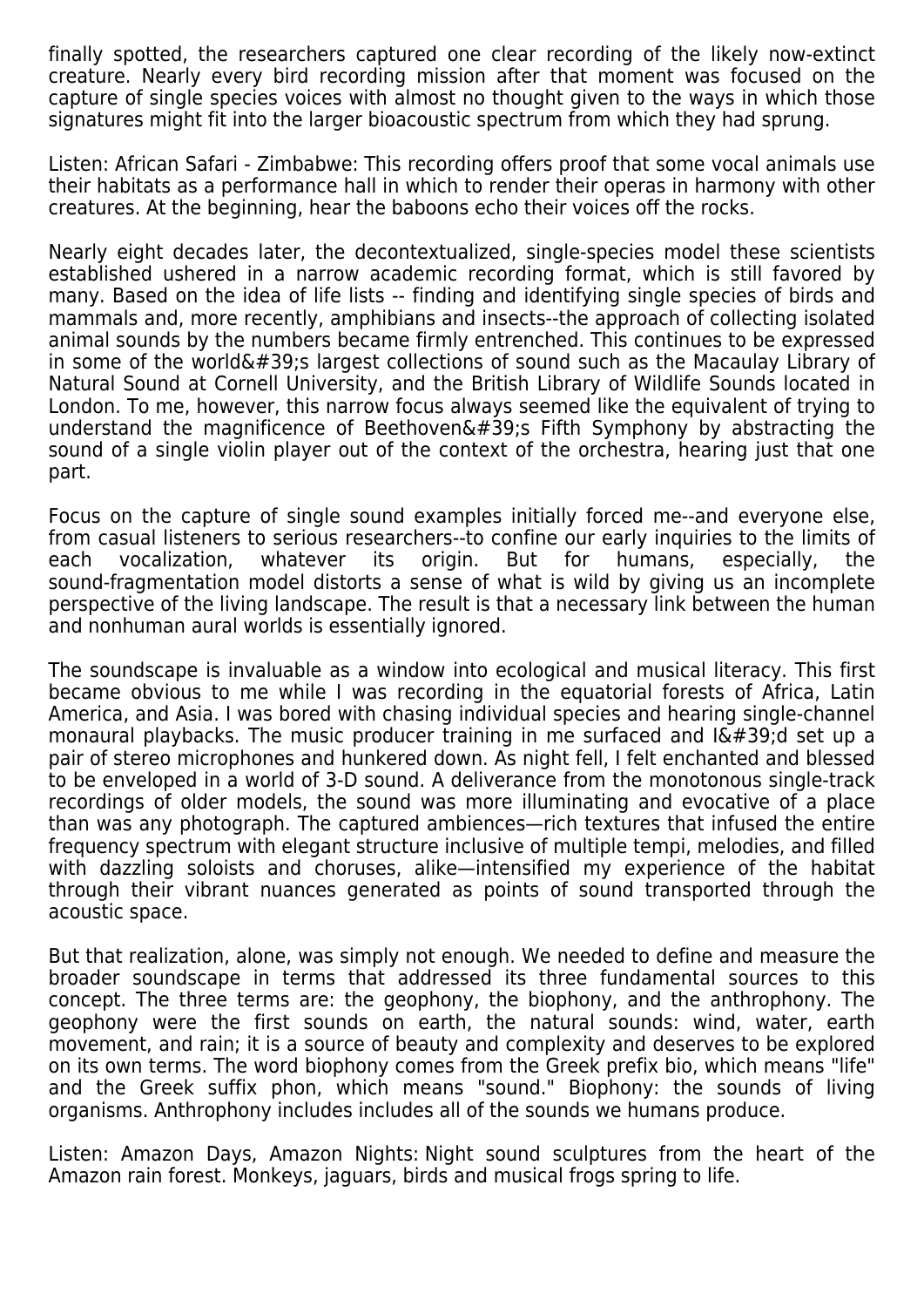finally spotted, the researchers captured one clear recording of the likely now-extinct creature. Nearly every bird recording mission after that moment was focused on the capture of single species voices with almost no thought given to the ways in which those signatures might fit into the larger bioacoustic spectrum from which they had sprung.

Listen: African Safari - Zimbabwe: This recording offers proof that some vocal animals use their habitats as a performance hall in which to render their operas in harmony with other creatures. At the beginning, hear the baboons echo their voices off the rocks.

Nearly eight decades later, the decontextualized, single-species model these scientists established ushered in a narrow academic recording format, which is still favored by many. Based on the idea of life lists -- finding and identifying single species of birds and mammals and, more recently, amphibians and insects--the approach of collecting isolated animal sounds by the numbers became firmly entrenched. This continues to be expressed in some of the world $\&\#39$ ; largest collections of sound such as the Macaulay Library of Natural Sound at Cornell University, and the British Library of Wildlife Sounds located in London. To me, however, this narrow focus always seemed like the equivalent of trying to understand the magnificence of Beethoven's Fifth Symphony by abstracting the sound of a single violin player out of the context of the orchestra, hearing just that one part.

Focus on the capture of single sound examples initially forced me--and everyone else, from casual listeners to serious researchers--to confine our early inquiries to the limits of each vocalization, whatever its origin. But for humans, especially, the sound-fragmentation model distorts a sense of what is wild by giving us an incomplete perspective of the living landscape. The result is that a necessary link between the human and nonhuman aural worlds is essentially ignored.

The soundscape is invaluable as a window into ecological and musical literacy. This first became obvious to me while I was recording in the equatorial forests of Africa, Latin America, and Asia. I was bored with chasing individual species and hearing single-channel monaural playbacks. The music producer training in me surfaced and  $\frac{16}{4}$ 39;d set up a pair of stereo microphones and hunkered down. As night fell, I felt enchanted and blessed to be enveloped in a world of 3-D sound. A deliverance from the monotonous single-track recordings of older models, the sound was more illuminating and evocative of a place than was any photograph. The captured ambiences—rich textures that infused the entire frequency spectrum with elegant structure inclusive of multiple tempi, melodies, and filled with dazzling soloists and choruses, alike—intensified my experience of the habitat through their vibrant nuances generated as points of sound transported through the acoustic space.

But that realization, alone, was simply not enough. We needed to define and measure the broader soundscape in terms that addressed its three fundamental sources to this concept. The three terms are: the geophony, the biophony, and the anthrophony. The geophony were the first sounds on earth, the natural sounds: wind, water, earth movement, and rain; it is a source of beauty and complexity and deserves to be explored on its own terms. The word biophony comes from the Greek prefix bio, which means "life" and the Greek suffix phon, which means "sound." Biophony: the sounds of living organisms. Anthrophony includes includes all of the sounds we humans produce.

Listen: Amazon Days, Amazon Nights: Night sound sculptures from the heart of the Amazon rain forest. Monkeys, jaguars, birds and musical frogs spring to life.